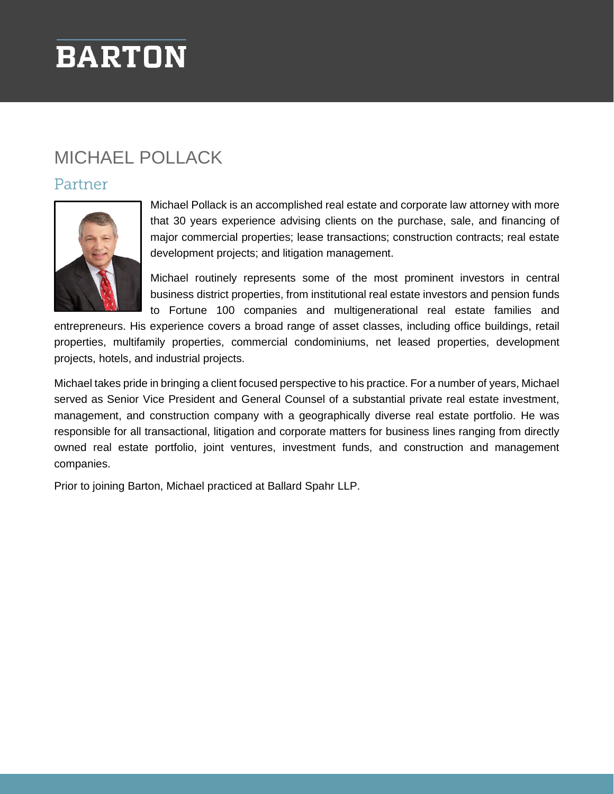# **BARTON**

# MICHAEL POLLACK

#### Partner



Michael Pollack is an accomplished real estate and corporate law attorney with more that 30 years experience advising clients on the purchase, sale, and financing of major commercial properties; lease transactions; construction contracts; real estate development projects; and litigation management.

Michael routinely represents some of the most prominent investors in central business district properties, from institutional real estate investors and pension funds to Fortune 100 companies and multigenerational real estate families and

entrepreneurs. His experience covers a broad range of asset classes, including office buildings, retail properties, multifamily properties, commercial condominiums, net leased properties, development projects, hotels, and industrial projects.

Michael takes pride in bringing a client focused perspective to his practice. For a number of years, Michael served as Senior Vice President and General Counsel of a substantial private real estate investment, management, and construction company with a geographically diverse real estate portfolio. He was responsible for all transactional, litigation and corporate matters for business lines ranging from directly owned real estate portfolio, joint ventures, investment funds, and construction and management companies.

Prior to joining Barton, Michael practiced at Ballard Spahr LLP.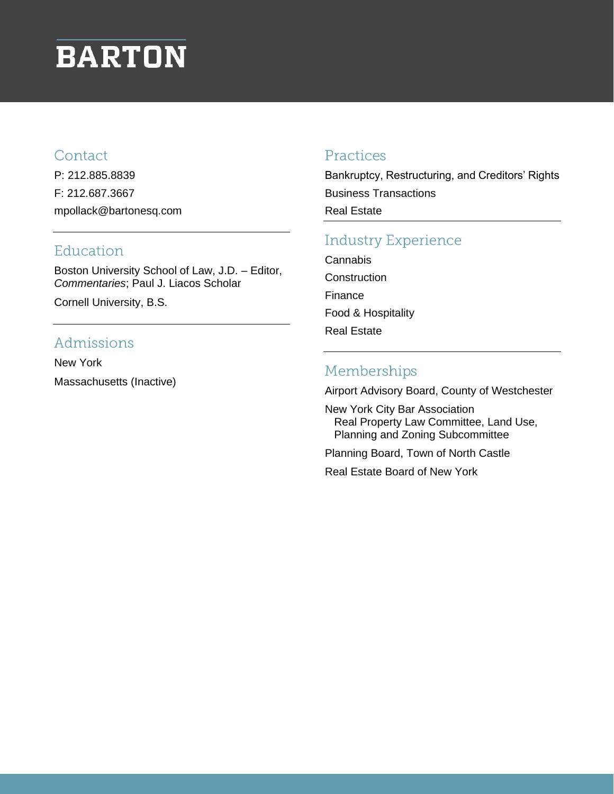# **BARTON**

#### Contact

P: 212.885.8839 F: 212.687.3667 mpollack@bartonesq.com

#### Education

Boston University School of Law, J.D. – Editor, *Commentaries*; Paul J. Liacos Scholar

Cornell University, B.S.

### Admissions

New York Massachusetts (Inactive)

#### Practices

Bankruptcy, Restructuring, and Creditors' Rights Business Transactions Real Estate

## **Industry Experience**

**Cannabis Construction** Finance Food & Hospitality Real Estate

## Memberships

Airport Advisory Board, County of Westchester

New York City Bar Association Real Property Law Committee, Land Use, Planning and Zoning Subcommittee

Planning Board, Town of North Castle

Real Estate Board of New York